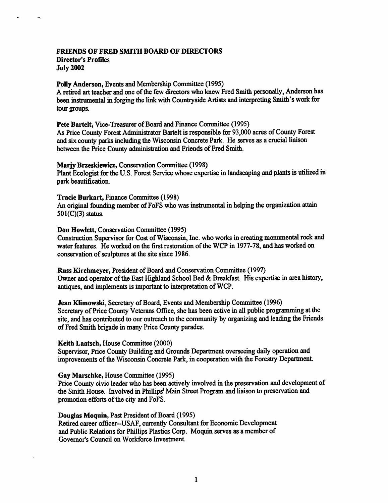## FRIENDS OF FRED SMITH BOARD OF DIRECTORS Director's Profiles

July 2002

÷,

### Polly Anderson, Events and Membership Committee (1995)

A retired art teacher and one of the few directors who knew Fred Smith personally, Anderson has been instrumental in forging the link with Countryside Artists and interpreting Smith's work for tour groups.

Pete Bartelt, Vice-Treasurer of Board and Finance Committee (1995)

As Price County Forest Administrator Bartelt is responsible for 93,000 acres of County Forest and six county parks including the Wisconsin Concrete Park. He serves as a crucial liaison between the Price County administration and Friends of Fred Smith.

### Marjy Brzeskiewicz, Conservation Committee (1998)

Plant Ecologist for the U.S. Forest Service whose expertise in landscaping and plants is utilized in park beautification.

Tracie Burkart, Finance Committee (1998)

An original founding member of FoFS who was instrumental in helping the organization attain 501(C)(3) status.

# Don Howlett, Conservation Committee (1995)

Construction Supervisor for Cost of Wisconsin, Inc. who works in creating monumental rock and water features. He worked on the first restoration of the WCP in 1977-78, and has worked on conservation of sculptures at the site since 1986.

Russ Kirchmeyer, President of Board and Conservation Committee (1997) Owner and operator of the East Highland School Bed & Breakfast. His expertise in area history, antiques, and implements is important to interpretation of WCP.

Jean Klimowski, Secretary of Board, Events and Membership Committee (1996) Secretary of Price County Veterans Office, she has been active in all public programming at the site, and has contributed to our outreach to the community by organizing and leading the Friends of Fred Smith brigade in many Price County parades.

## Keith Laatsch, House Committee (2000)

Supervisor, Price County Building and Grounds Department overseeing daily operation and improvements of the Wisconsin Concrete Park, in cooperation with the Forestry Department

### Gay Marschke, House Committee (1995)

Price County civic leader who has been actively involved in the preservation and development of the Smith House. Involved in Phillips' Main Street Program and liaison to preservation and promotion efforts of the city and FoFS.

#### Douglas Moquin, Past President of Board (1995)

Retired career officer--USAF, currently Consultant for Economic Development and Public Relations for Phillips Plastics Corp. Moquin serves as a member of Governor's Council on Workforce Investment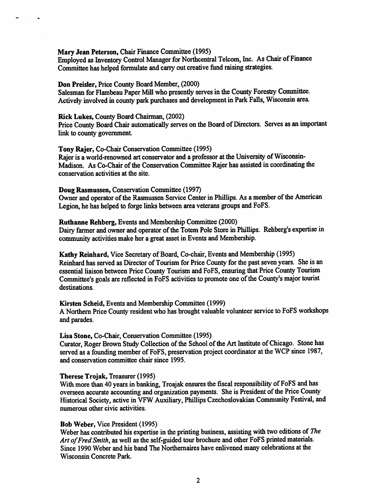## Mary Jean Peterson, Chair Finance Committee (1995)

Employed as Inventory Control Manager for Northcentral Telcom, Inc. As Chair of Finance Committee has helped formulate and cany out creative fimd raising strategies.

# Don Preisler, Price County Board Member, (2000)

Salesman for Flambeau Paper Mill who presently serves in the County Forestry Committee. Actively involved in county park purchases and development in Park Falls, Wisconsin area.

#### Rick Lukes, County Board Chairman, (2002)

 $\ddot{\phantom{1}}$ 

Price County Board Chair automatically serves on the Board of Directors. Serves as an important link to county government

#### Tony Rajer, Co-Chair Conservation Committee (1995)

Rajer is a world-renowned art conservator and a professor at the University of Wisconsin-Madison. As Co-Chair of the Conservation Committee Rajer has assisted in coordinating the conservation activities at the site.

# Doug Rasmussen, Conservation Committee (1997)

Owner and operator of the Rasmussen Service Center in Phillips. As a member of the American Legion, he has helped to forge links between area veterans groups and FoFS.

### Ruthanne Rehberg, Events and Membership Committee (2000)

Dairy farmer and owner and operator of the Totem Pole Store in Phillips. Rehberg's expertise in community activities make her a great asset in Events and Membership.

Kathy Reinhard, Vice Secretary of Board, Co-chair, Events and Membership (1995) Reinhard has served as Director of Tourism for Price County for the past seven years. She is an essential liaison between Price County Tourism and FoFS, ensuring that Price County Tourism Committee's goals are reflected in FoFS activities to promote one of the County's major tourist destinations.

#### Kirsten Scheid, Events and Membership Committee (1999)

A Northern Price County resident who has brought valuable volunteer service to FoFS workshops and parades.

#### Lisa Stone, Co-Chair, Conservation Committee (1995)

Curator, Roger Brown Study Collection of the School of the Art Institute of Chicago. Stone has served as a founding member of FoFS, preservation project coordinator at the WCP since 1987, and conservation committee chair since 1995.

#### Therese Trojak, Treasurer (1995)

With more than 40 years in banking, Troajak ensures the fiscal responsibility of FoFS and has overseen accurate accounting and organization payments. She is President of the Price County Historical Society, active in VFW Auxiliary, Phillips Czechoslovakian Community Festival, and numerous other civic activities.

#### Bob Weber, Vice President (1995)

Weber has contributed his expertise in the printing business, assisting with two editions of The Art of Fred Smith, as well as the self-guided tour brochure and other FoFS printed materials. Since 1990 Weber and his band The Northemaires have enlivened many celebrations at the Wisconsin Concrete Park.